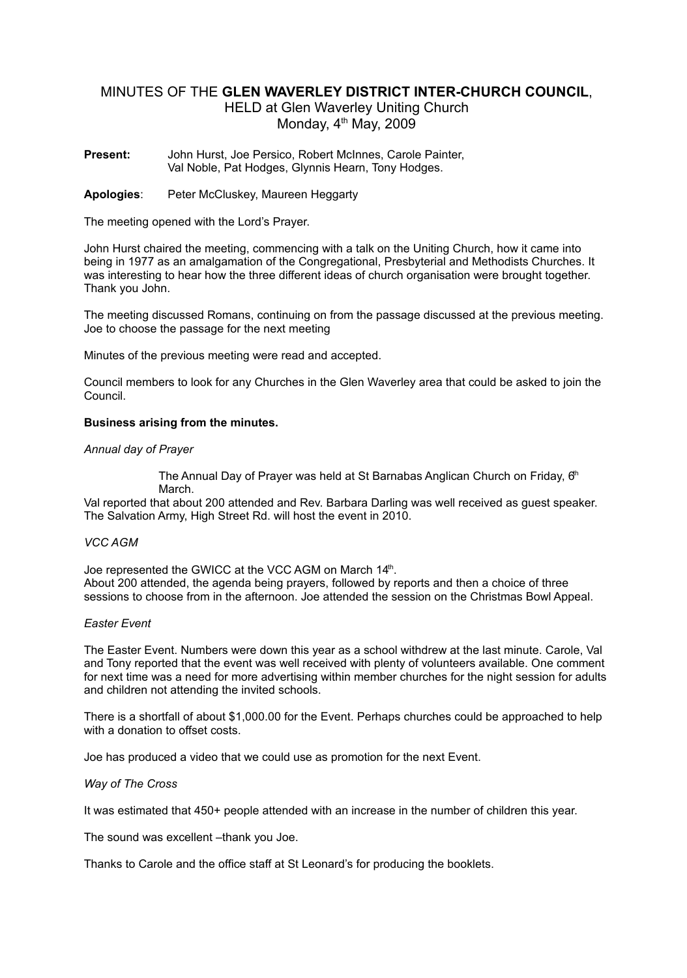# MINUTES OF THE **GLEN WAVERLEY DISTRICT INTER-CHURCH COUNCIL**,

HELD at Glen Waverley Uniting Church Monday,  $4<sup>th</sup>$  May, 2009

**Present:** John Hurst, Joe Persico, Robert McInnes, Carole Painter, Val Noble, Pat Hodges, Glynnis Hearn, Tony Hodges.

**Apologies**: Peter McCluskey, Maureen Heggarty

The meeting opened with the Lord's Prayer.

John Hurst chaired the meeting, commencing with a talk on the Uniting Church, how it came into being in 1977 as an amalgamation of the Congregational, Presbyterial and Methodists Churches. It was interesting to hear how the three different ideas of church organisation were brought together. Thank you John.

The meeting discussed Romans, continuing on from the passage discussed at the previous meeting. Joe to choose the passage for the next meeting

Minutes of the previous meeting were read and accepted.

Council members to look for any Churches in the Glen Waverley area that could be asked to join the Council.

## **Business arising from the minutes.**

### *Annual day of Prayer*

The Annual Day of Prayer was held at St Barnabas Anglican Church on Friday,  $\theta^h$ March.

Val reported that about 200 attended and Rev. Barbara Darling was well received as guest speaker. The Salvation Army, High Street Rd. will host the event in 2010.

### *VCC AGM*

Joe represented the GWICC at the VCC AGM on March 14th. About 200 attended, the agenda being prayers, followed by reports and then a choice of three sessions to choose from in the afternoon. Joe attended the session on the Christmas Bowl Appeal.

### *Easter Event*

The Easter Event. Numbers were down this year as a school withdrew at the last minute. Carole, Val and Tony reported that the event was well received with plenty of volunteers available. One comment for next time was a need for more advertising within member churches for the night session for adults and children not attending the invited schools.

There is a shortfall of about \$1,000.00 for the Event. Perhaps churches could be approached to help with a donation to offset costs.

Joe has produced a video that we could use as promotion for the next Event.

*Way of The Cross*

It was estimated that 450+ people attended with an increase in the number of children this year.

The sound was excellent -thank you Joe.

Thanks to Carole and the office staff at St Leonard's for producing the booklets.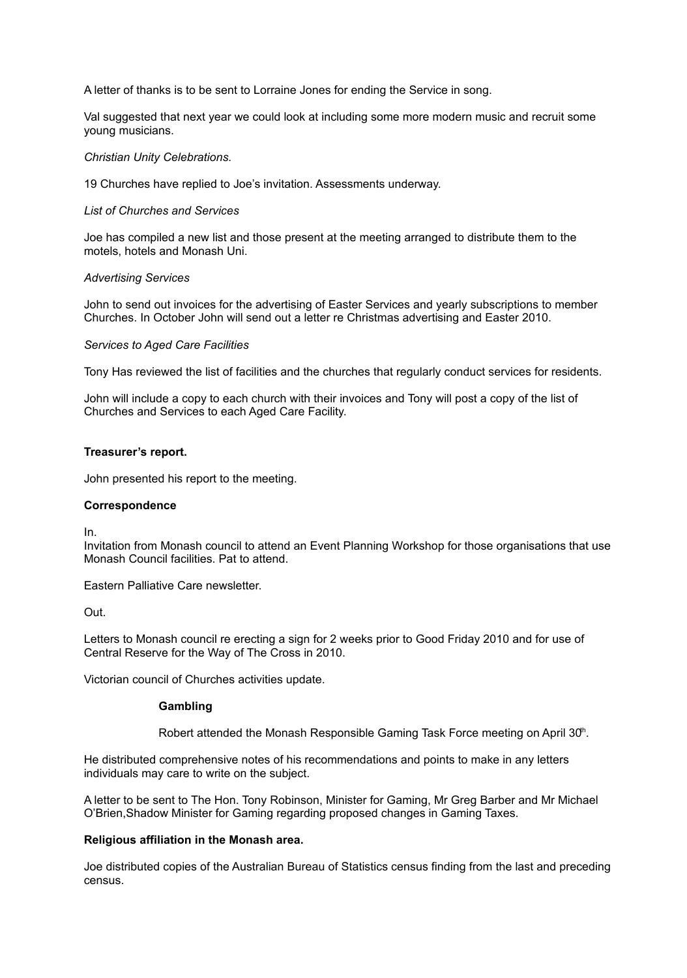A letter of thanks is to be sent to Lorraine Jones for ending the Service in song.

Val suggested that next year we could look at including some more modern music and recruit some young musicians.

### *Christian Unity Celebrations.*

19 Churches have replied to Joe's invitation. Assessments underway.

### *List of Churches and Services*

Joe has compiled a new list and those present at the meeting arranged to distribute them to the motels, hotels and Monash Uni.

### *Advertising Services*

John to send out invoices for the advertising of Easter Services and yearly subscriptions to member Churches. In October John will send out a letter re Christmas advertising and Easter 2010.

### *Services to Aged Care Facilities*

Tony Has reviewed the list of facilities and the churches that regularly conduct services for residents.

John will include a copy to each church with their invoices and Tony will post a copy of the list of Churches and Services to each Aged Care Facility.

### **Treasurer's report.**

John presented his report to the meeting.

### **Correspondence**

In.

Invitation from Monash council to attend an Event Planning Workshop for those organisations that use Monash Council facilities. Pat to attend.

Eastern Palliative Care newsletter.

Out.

Letters to Monash council re erecting a sign for 2 weeks prior to Good Friday 2010 and for use of Central Reserve for the Way of The Cross in 2010.

Victorian council of Churches activities update.

#### **Gambling**

Robert attended the Monash Responsible Gaming Task Force meeting on April 30<sup>th</sup>.

He distributed comprehensive notes of his recommendations and points to make in any letters individuals may care to write on the subject.

A letter to be sent to The Hon. Tony Robinson, Minister for Gaming, Mr Greg Barber and Mr Michael O'Brien,Shadow Minister for Gaming regarding proposed changes in Gaming Taxes.

### **Religious affiliation in the Monash area.**

Joe distributed copies of the Australian Bureau of Statistics census finding from the last and preceding census.